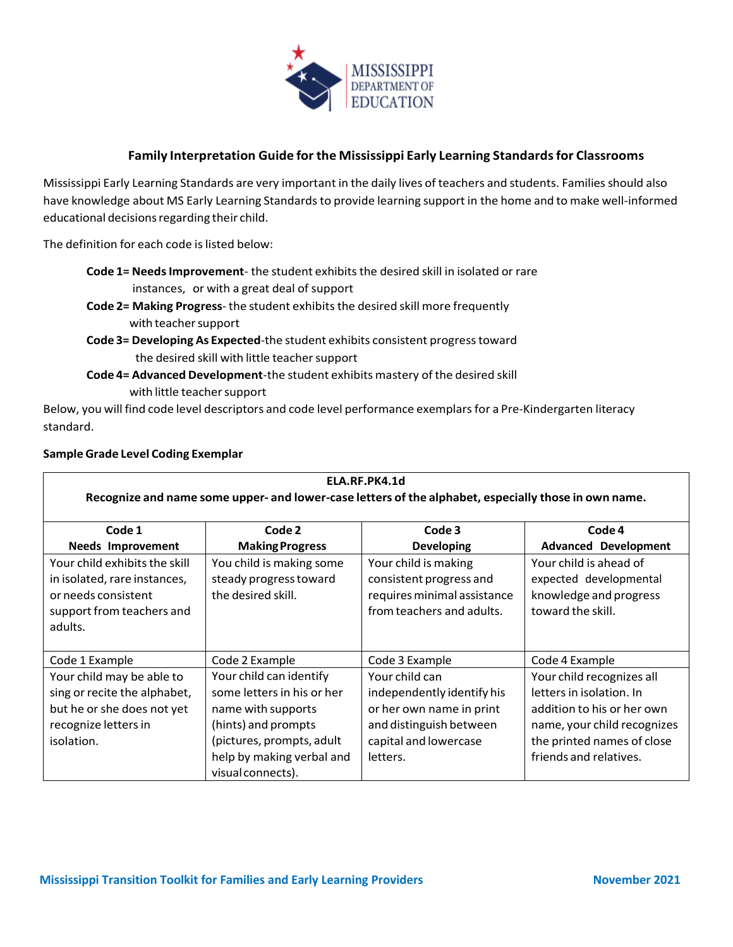

## **Family Interpretation Guide for the Mississippi Early Learning Standardsfor Classrooms**

Mississippi Early Learning Standards are very important in the daily lives of teachers and students. Families should also have knowledge about MS Early Learning Standards to provide learning support in the home and to make well-informed educational decisions regarding their child.

The definition for each code is listed below:

- **Code 1= Needs Improvement** the student exhibits the desired skill in isolated or rare instances, or with a great deal of support
- **Code 2= Making Progress** the student exhibitsthe desired skill more frequently with teacher support
- **Code 3= Developing As Expected**-the student exhibits consistent progresstoward the desired skill with little teacher support
- **Code 4= Advanced Development**-the student exhibits mastery of the desired skill with little teacher support

Below, you will find code level descriptors and code level performance exemplars for a Pre-Kindergarten literacy standard.

## **SampleGrade Level Coding Exemplar**

| ELA.RF.PK4.1d<br>Recognize and name some upper- and lower-case letters of the alphabet, especially those in own name.         |                                                                                                                                                                                   |                                                                                                                                          |                                                                                                                                                                            |
|-------------------------------------------------------------------------------------------------------------------------------|-----------------------------------------------------------------------------------------------------------------------------------------------------------------------------------|------------------------------------------------------------------------------------------------------------------------------------------|----------------------------------------------------------------------------------------------------------------------------------------------------------------------------|
| Code 1<br><b>Needs Improvement</b>                                                                                            | Code 2<br><b>Making Progress</b>                                                                                                                                                  | Code 3<br><b>Developing</b>                                                                                                              | Code 4<br><b>Advanced Development</b>                                                                                                                                      |
| Your child exhibits the skill<br>in isolated, rare instances,<br>or needs consistent<br>support from teachers and<br>adults.  | You child is making some<br>steady progress toward<br>the desired skill.                                                                                                          | Your child is making<br>consistent progress and<br>requires minimal assistance<br>from teachers and adults.                              | Your child is ahead of<br>expected developmental<br>knowledge and progress<br>toward the skill.                                                                            |
| Code 1 Example                                                                                                                | Code 2 Example                                                                                                                                                                    | Code 3 Example                                                                                                                           | Code 4 Example                                                                                                                                                             |
| Your child may be able to<br>sing or recite the alphabet,<br>but he or she does not yet<br>recognize letters in<br>isolation. | Your child can identify<br>some letters in his or her<br>name with supports<br>(hints) and prompts<br>(pictures, prompts, adult<br>help by making verbal and<br>visual connects). | Your child can<br>independently identify his<br>or her own name in print<br>and distinguish between<br>capital and lowercase<br>letters. | Your child recognizes all<br>letters in isolation. In<br>addition to his or her own<br>name, your child recognizes<br>the printed names of close<br>friends and relatives. |